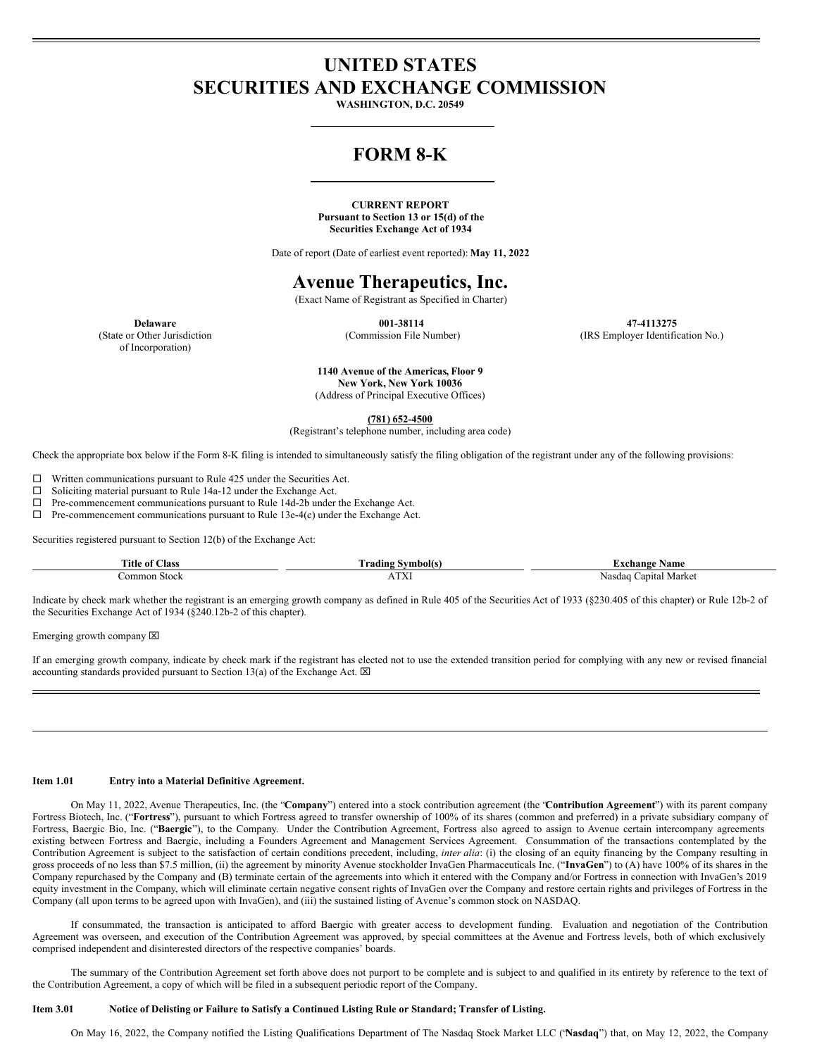# **UNITED STATES SECURITIES AND EXCHANGE COMMISSION**

**WASHINGTON, D.C. 20549**

# **FORM 8-K**

## **CURRENT REPORT Pursuant to Section 13 or 15(d) of the Securities Exchange Act of 1934**

Date of report (Date of earliest event reported): **May 11, 2022**

# **Avenue Therapeutics, Inc.**

(Exact Name of Registrant as Specified in Charter)

**Delaware**

(State or Other Jurisdiction of Incorporation)

**001-38114** (Commission File Number)

**47-4113275** (IRS Employer Identification No.)

**1140 Avenue of the Americas, Floor 9 New York, New York 10036** (Address of Principal Executive Offices)

**(781) 652-4500**

(Registrant's telephone number, including area code)

Check the appropriate box below if the Form 8-K filing is intended to simultaneously satisfy the filing obligation of the registrant under any of the following provisions:

 $\Box$  Written communications pursuant to Rule 425 under the Securities Act.

 $\square$  Soliciting material pursuant to Rule 14a-12 under the Exchange Act.

 $\Box$  Pre-commencement communications pursuant to Rule 14d-2b under the Exchange Act.

 $\Box$  Pre-commencement communications pursuant to Rule 13e-4(c) under the Exchange Act.

Securities registered pursuant to Section 12(b) of the Exchange Act:

| man and<br><b>A</b> ss<br>ritle of <b>'</b> | mbolts/        | Name<br>cnange                 |
|---------------------------------------------|----------------|--------------------------------|
| -Stock<br>ommon                             | T T T<br>1 I A | Marke'<br>anıtal<br>. vas<br>ы |

Indicate by check mark whether the registrant is an emerging growth company as defined in Rule 405 of the Securities Act of 1933 (§230.405 of this chapter) or Rule 12b-2 of the Securities Exchange Act of 1934 (§240.12b-2 of this chapter).

Emerging growth company  $[2]$ 

If an emerging growth company, indicate by check mark if the registrant has elected not to use the extended transition period for complying with any new or revised financial accounting standards provided pursuant to Section 13(a) of the Exchange Act.  $\boxtimes$ 

#### **Item 1.01 Entry into a Material Definitive Agreement.**

On May 11, 2022, Avenue Therapeutics, Inc. (the "**Company**") entered into a stock contribution agreement (the "**Contribution Agreement**") with its parent company Fortress Biotech, Inc. ("**Fortress**"), pursuant to which Fortress agreed to transfer ownership of 100% of its shares (common and preferred) in a private subsidiary company of Fortress, Baergic Bio, Inc. ("**Baergic**"), to the Company. Under the Contribution Agreement, Fortress also agreed to assign to Avenue certain intercompany agreements existing between Fortress and Baergic, including a Founders Agreement and Management Services Agreement. Consummation of the transactions contemplated by the Contribution Agreement is subject to the satisfaction of certain conditions precedent, including, *inter alia*: (i) the closing of an equity financing by the Company resulting in gross proceeds of no less than \$7.5 million, (ii) the agreement by minority Avenue stockholder InvaGen Pharmaceuticals Inc. ("**InvaGen**") to (A) have 100% of its shares in the Company repurchased by the Company and (B) terminate certain of the agreements into which it entered with the Company and/or Fortress in connection with InvaGen's 2019 equity investment in the Company, which will eliminate certain negative consent rights of InvaGen over the Company and restore certain rights and privileges of Fortress in the Company (all upon terms to be agreed upon with InvaGen), and (iii) the sustained listing of Avenue's common stock on NASDAQ.

If consummated, the transaction is anticipated to afford Baergic with greater access to development funding. Evaluation and negotiation of the Contribution Agreement was overseen, and execution of the Contribution Agreement was approved, by special committees at the Avenue and Fortress levels, both of which exclusively comprised independent and disinterested directors of the respective companies' boards.

The summary of the Contribution Agreement set forth above does not purport to be complete and is subject to and qualified in its entirety by reference to the text of the Contribution Agreement, a copy of which will be filed in a subsequent periodic report of the Company.

### Item 3.01 Notice of Delisting or Failure to Satisfy a Continued Listing Rule or Standard; Transfer of Listing.

On May 16, 2022, the Company notified the Listing Qualifications Department of The Nasdaq Stock Market LLC ("**Nasdaq**") that, on May 12, 2022, the Company